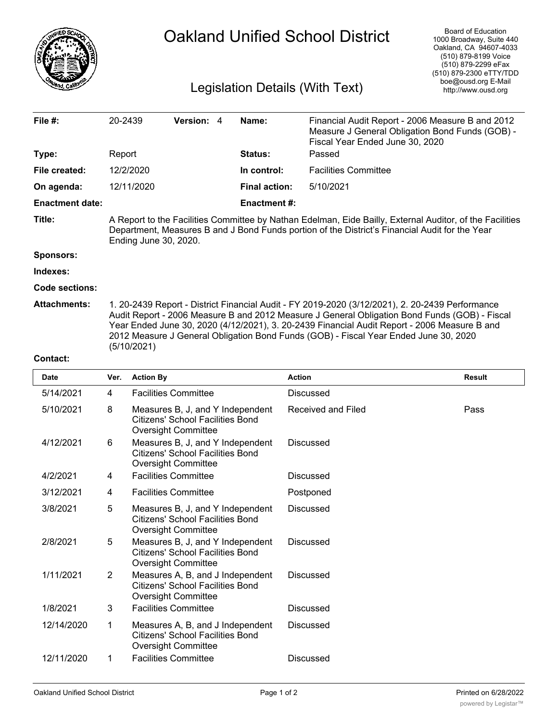

## Oakland Unified School District

## Legislation Details (With Text)

| File $#$ :             | 20-2439                                                                                                                                                                                                                                                                                                                                                                                                 | Version: 4 |  | Name:                | Financial Audit Report - 2006 Measure B and 2012<br>Measure J General Obligation Bond Funds (GOB) -<br>Fiscal Year Ended June 30, 2020 |  |  |  |
|------------------------|---------------------------------------------------------------------------------------------------------------------------------------------------------------------------------------------------------------------------------------------------------------------------------------------------------------------------------------------------------------------------------------------------------|------------|--|----------------------|----------------------------------------------------------------------------------------------------------------------------------------|--|--|--|
| Type:                  | Report                                                                                                                                                                                                                                                                                                                                                                                                  |            |  | Status:              | Passed                                                                                                                                 |  |  |  |
| File created:          | 12/2/2020                                                                                                                                                                                                                                                                                                                                                                                               |            |  | In control:          | <b>Facilities Committee</b>                                                                                                            |  |  |  |
| On agenda:             | 12/11/2020                                                                                                                                                                                                                                                                                                                                                                                              |            |  | <b>Final action:</b> | 5/10/2021                                                                                                                              |  |  |  |
| <b>Enactment date:</b> |                                                                                                                                                                                                                                                                                                                                                                                                         |            |  | <b>Enactment #:</b>  |                                                                                                                                        |  |  |  |
| Title:                 | A Report to the Facilities Committee by Nathan Edelman, Eide Bailly, External Auditor, of the Facilities<br>Department, Measures B and J Bond Funds portion of the District's Financial Audit for the Year<br>Ending June 30, 2020.                                                                                                                                                                     |            |  |                      |                                                                                                                                        |  |  |  |
| <b>Sponsors:</b>       |                                                                                                                                                                                                                                                                                                                                                                                                         |            |  |                      |                                                                                                                                        |  |  |  |
| Indexes:               |                                                                                                                                                                                                                                                                                                                                                                                                         |            |  |                      |                                                                                                                                        |  |  |  |
| <b>Code sections:</b>  |                                                                                                                                                                                                                                                                                                                                                                                                         |            |  |                      |                                                                                                                                        |  |  |  |
| <b>Attachments:</b>    | 1. 20-2439 Report - District Financial Audit - FY 2019-2020 (3/12/2021), 2. 20-2439 Performance<br>Audit Report - 2006 Measure B and 2012 Measure J General Obligation Bond Funds (GOB) - Fiscal<br>Year Ended June 30, 2020 (4/12/2021), 3. 20-2439 Financial Audit Report - 2006 Measure B and<br>2012 Measure J General Obligation Bond Funds (GOB) - Fiscal Year Ended June 30, 2020<br>(5/10/2021) |            |  |                      |                                                                                                                                        |  |  |  |

## **Contact:**

| <b>Date</b> | Ver.           | <b>Action By</b>                                                                                          | <b>Action</b>      | <b>Result</b> |
|-------------|----------------|-----------------------------------------------------------------------------------------------------------|--------------------|---------------|
| 5/14/2021   | 4              | <b>Facilities Committee</b>                                                                               | <b>Discussed</b>   |               |
| 5/10/2021   | 8              | Measures B, J, and Y Independent<br>Citizens' School Facilities Bond<br>Oversight Committee               | Received and Filed | Pass          |
| 4/12/2021   | 6              | Measures B, J, and Y Independent<br>Citizens' School Facilities Bond<br><b>Oversight Committee</b>        | Discussed          |               |
| 4/2/2021    | 4              | <b>Facilities Committee</b>                                                                               | Discussed          |               |
| 3/12/2021   | 4              | <b>Facilities Committee</b>                                                                               | Postponed          |               |
| 3/8/2021    | 5              | Measures B, J, and Y Independent<br><b>Citizens' School Facilities Bond</b><br><b>Oversight Committee</b> | <b>Discussed</b>   |               |
| 2/8/2021    | 5              | Measures B, J, and Y Independent<br><b>Citizens' School Facilities Bond</b><br><b>Oversight Committee</b> | <b>Discussed</b>   |               |
| 1/11/2021   | $\overline{2}$ | Measures A, B, and J Independent<br>Citizens' School Facilities Bond<br>Oversight Committee               | Discussed          |               |
| 1/8/2021    | 3              | <b>Facilities Committee</b>                                                                               | <b>Discussed</b>   |               |
| 12/14/2020  | 1              | Measures A, B, and J Independent<br><b>Citizens' School Facilities Bond</b><br>Oversight Committee        | Discussed          |               |
| 12/11/2020  | 1              | <b>Facilities Committee</b>                                                                               | <b>Discussed</b>   |               |